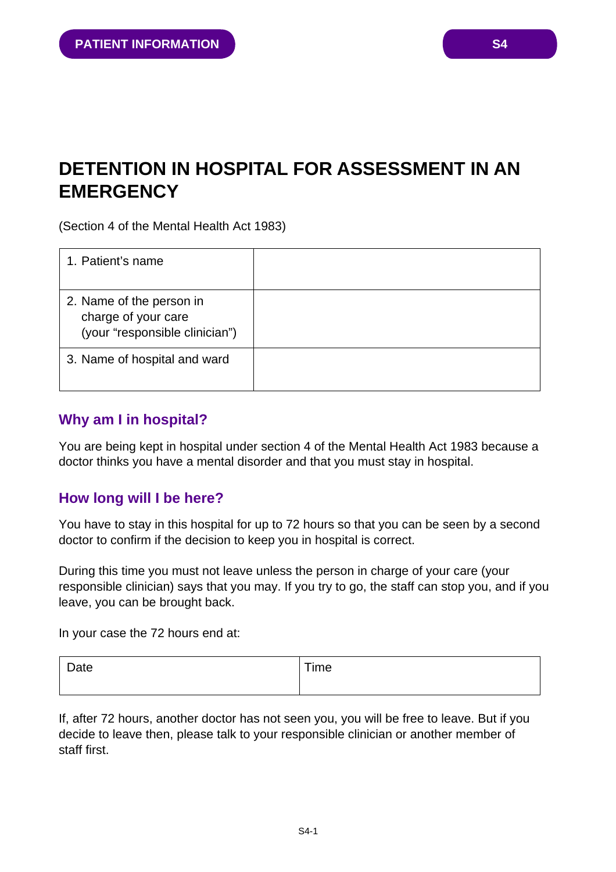# **DETENTION IN HOSPITAL FOR ASSESSMENT IN AN EMERGENCY**

(Section 4 of the Mental Health Act 1983)

| 1. Patient's name                                                                 |  |
|-----------------------------------------------------------------------------------|--|
| 2. Name of the person in<br>charge of your care<br>(your "responsible clinician") |  |
| 3. Name of hospital and ward                                                      |  |

## **Why am I in hospital?**

You are being kept in hospital under section 4 of the Mental Health Act 1983 because a doctor thinks you have a mental disorder and that you must stay in hospital.

# **How long will I be here?**

You have to stay in this hospital for up to 72 hours so that you can be seen by a second doctor to confirm if the decision to keep you in hospital is correct.

During this time you must not leave unless the person in charge of your care (your responsible clinician) says that you may. If you try to go, the staff can stop you, and if you leave, you can be brought back.

In your case the 72 hours end at:

| Date | Time |
|------|------|
|      |      |

If, after 72 hours, another doctor has not seen you, you will be free to leave. But if you decide to leave then, please talk to your responsible clinician or another member of staff first.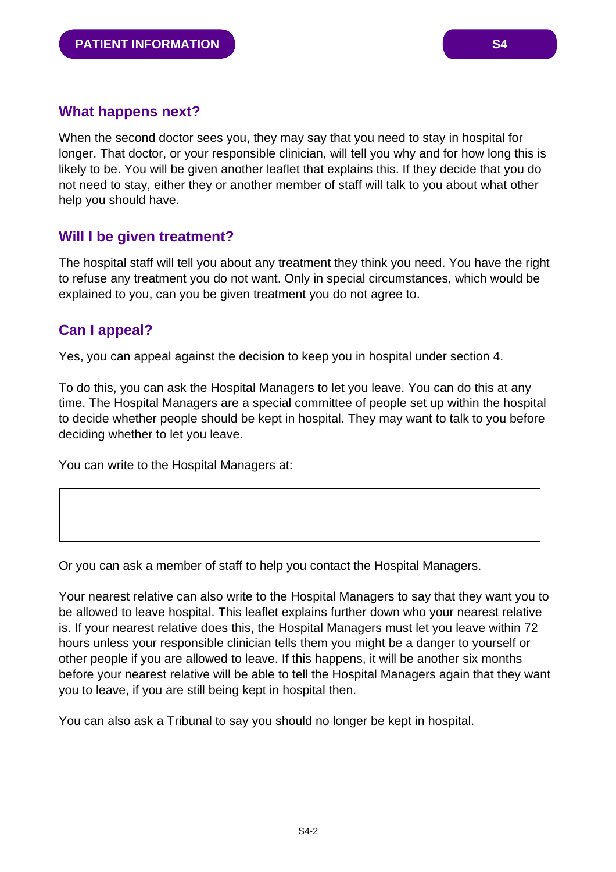## **What happens next?**

When the second doctor sees you, they may say that you need to stay in hospital for longer. That doctor, or your responsible clinician, will tell you why and for how long this is likely to be. You will be given another leaflet that explains this. If they decide that you do not need to stay, either they or another member of staff will talk to you about what other help you should have.

# **Will I be given treatment?**

The hospital staff will tell you about any treatment they think you need. You have the right to refuse any treatment you do not want. Only in special circumstances, which would be explained to you, can you be given treatment you do not agree to.

## **Can I appeal?**

Yes, you can appeal against the decision to keep you in hospital under section 4.

To do this, you can ask the Hospital Managers to let you leave. You can do this at any time. The Hospital Managers are a special committee of people set up within the hospital to decide whether people should be kept in hospital. They may want to talk to you before deciding whether to let you leave.

You can write to the Hospital Managers at:

Or you can ask a member of staff to help you contact the Hospital Managers.

Your nearest relative can also write to the Hospital Managers to say that they want you to be allowed to leave hospital. This leaflet explains further down who your nearest relative is. If your nearest relative does this, the Hospital Managers must let you leave within 72 hours unless your responsible clinician tells them you might be a danger to yourself or other people if you are allowed to leave. If this happens, it will be another six months before your nearest relative will be able to tell the Hospital Managers again that they want you to leave, if you are still being kept in hospital then.

You can also ask a Tribunal to say you should no longer be kept in hospital.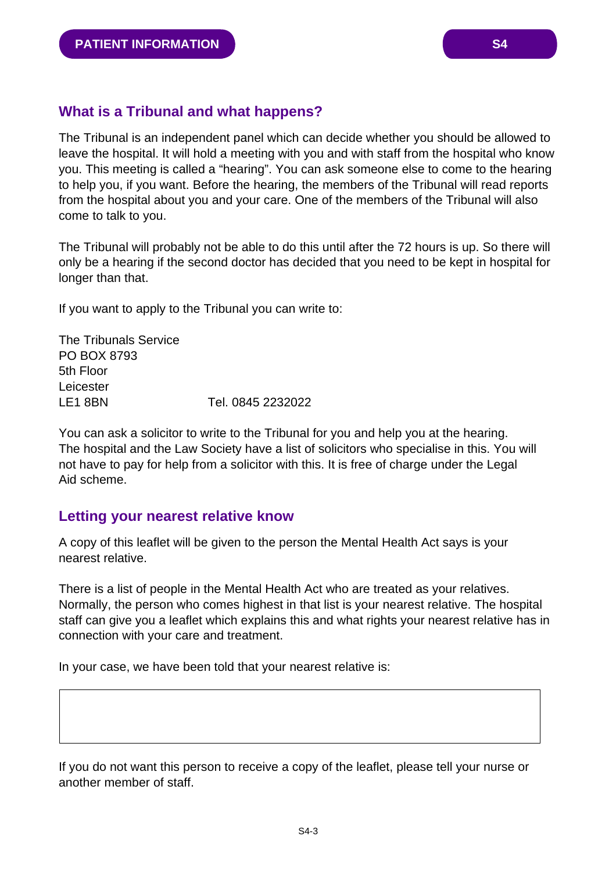The Tribunal is an independent panel which can decide whether you should be allowed to leave the hospital. It will hold a meeting with you and with staff from the hospital who know you. This meeting is called a "hearing". You can ask someone else to come to the hearing to help you, if you want. Before the hearing, the members of the Tribunal will read reports from the hospital about you and your care. One of the members of the Tribunal will also come to talk to you.

The Tribunal will probably not be able to do this until after the 72 hours is up. So there will only be a hearing if the second doctor has decided that you need to be kept in hospital for longer than that.

If you want to apply to the Tribunal you can write to:

The Tribunals Service PO BOX 8793 5th Floor Leicester LE1 8BN Tel. 0845 2232022

You can ask a solicitor to write to the Tribunal for you and help you at the hearing. The hospital and the Law Society have a list of solicitors who specialise in this. You will not have to pay for help from a solicitor with this. It is free of charge under the Legal Aid scheme.

# **Letting your nearest relative know**

A copy of this leaflet will be given to the person the Mental Health Act says is your nearest relative.

There is a list of people in the Mental Health Act who are treated as your relatives. Normally, the person who comes highest in that list is your nearest relative. The hospital staff can give you a leaflet which explains this and what rights your nearest relative has in connection with your care and treatment.

In your case, we have been told that your nearest relative is:

If you do not want this person to receive a copy of the leaflet, please tell your nurse or another member of staff.